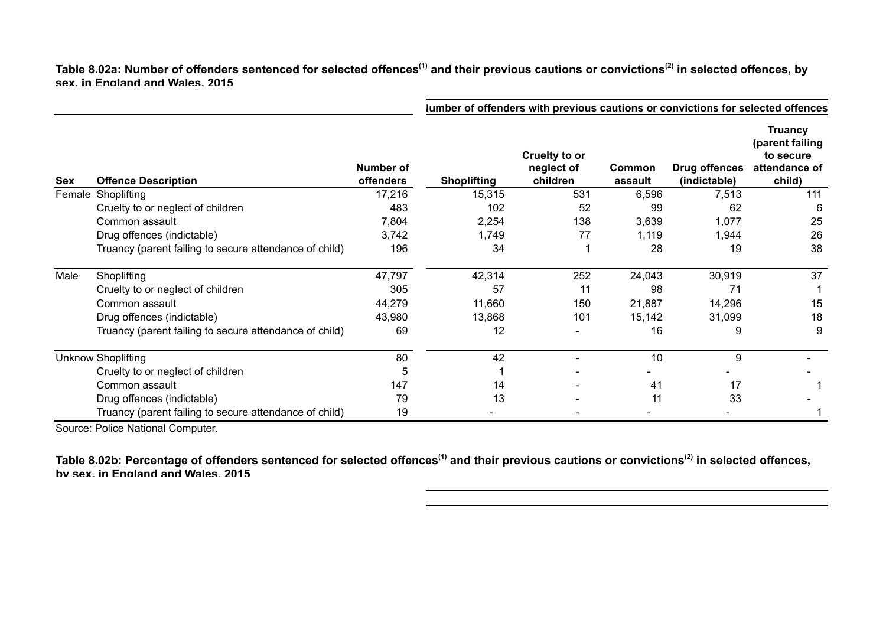## Table 8.02a: Number of offenders sentenced for selected offences<sup>(1)</sup> and their previous cautions or convictions<sup>(2)</sup> in selected offences, by **sex, in England and Wales, 2015**

|                           |                                                        | lumber of offenders with previous cautions or convictions for selected offences |                    |                                         |                   |                               |                                                                           |
|---------------------------|--------------------------------------------------------|---------------------------------------------------------------------------------|--------------------|-----------------------------------------|-------------------|-------------------------------|---------------------------------------------------------------------------|
| Sex                       | <b>Offence Description</b>                             | Number of<br><b>offenders</b>                                                   | <b>Shoplifting</b> | Cruelty to or<br>neglect of<br>children | Common<br>assault | Drug offences<br>(indictable) | <b>Truancy</b><br>(parent failing<br>to secure<br>attendance of<br>child) |
|                           | Female Shoplifting                                     | 17,216                                                                          | 15,315             | 531                                     | 6,596             | 7,513                         | 111                                                                       |
|                           | Cruelty to or neglect of children                      | 483                                                                             | 102                | 52                                      | 99                | 62                            | 6                                                                         |
|                           | Common assault                                         | 7,804                                                                           | 2,254              | 138                                     | 3,639             | 1,077                         | 25                                                                        |
|                           | Drug offences (indictable)                             | 3,742                                                                           | 1,749              | 77                                      | 1,119             | 1,944                         | 26                                                                        |
|                           | Truancy (parent failing to secure attendance of child) | 196                                                                             | 34                 |                                         | 28                | 19                            | 38                                                                        |
| Male                      | Shoplifting                                            | 47,797                                                                          | 42,314             | 252                                     | 24,043            | 30,919                        | 37                                                                        |
|                           | Cruelty to or neglect of children                      | 305                                                                             | 57                 | 11                                      | 98                | 71                            |                                                                           |
|                           | Common assault                                         | 44,279                                                                          | 11,660             | 150                                     | 21,887            | 14,296                        | 15                                                                        |
|                           | Drug offences (indictable)                             | 43,980                                                                          | 13,868             | 101                                     | 15,142            | 31,099                        | 18                                                                        |
|                           | Truancy (parent failing to secure attendance of child) | 69                                                                              | 12                 |                                         | 16                | 9                             | 9                                                                         |
| <b>Unknow Shoplifting</b> |                                                        | 80                                                                              | 42                 |                                         | 10                | 9                             |                                                                           |
|                           | Cruelty to or neglect of children                      | 5                                                                               |                    |                                         |                   |                               |                                                                           |
|                           | Common assault                                         | 147                                                                             | 14                 |                                         | 41                | 17                            |                                                                           |
|                           | Drug offences (indictable)                             | 79                                                                              | 13                 |                                         | 11                | 33                            |                                                                           |
|                           | Truancy (parent failing to secure attendance of child) | 19                                                                              |                    |                                         |                   |                               |                                                                           |

Source: Police National Computer.

Table 8.02b: Percentage of offenders sentenced for selected offences<sup>(1)</sup> and their previous cautions or convictions<sup>(2)</sup> in selected offences, **by sex, in England and Wales, 2015**